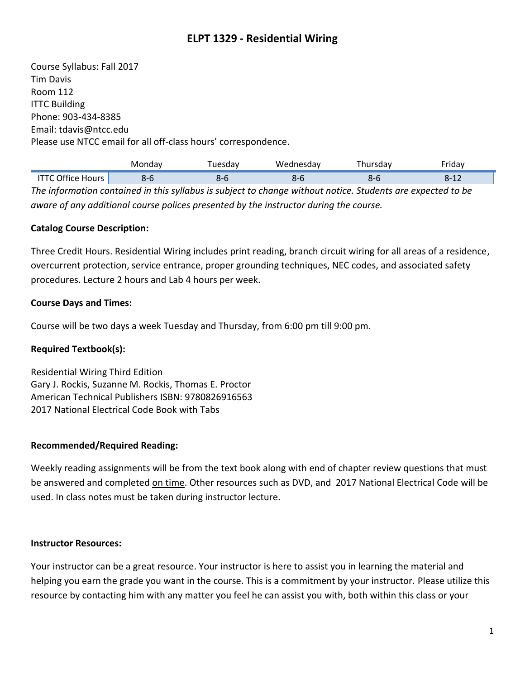# **ELPT 1329 - Residential Wiring**

Course Syllabus: Fall 2017 Tim Davis Room 112 ITTC Building Phone: 903-434-8385 Email: tdavis@ntcc.edu Please use NTCC email for all off-class hours' correspondence.

|                                                                                                             | Monday | Tuesdav | Wednesday | Thursdav | Fridav   |  |  |  |
|-------------------------------------------------------------------------------------------------------------|--------|---------|-----------|----------|----------|--|--|--|
| <b>ITTC Office Hours</b>                                                                                    | $8-6$  | $8 - 6$ | $8-6$     | $8-6$    | $8 - 12$ |  |  |  |
| The information contained in this syllabus is subject to change without notice. Students are expected to be |        |         |           |          |          |  |  |  |
| aware of any additional course polices presented by the instructor during the course.                       |        |         |           |          |          |  |  |  |

#### **Catalog Course Description:**

Three Credit Hours. Residential Wiring includes print reading, branch circuit wiring for all areas of a residence, overcurrent protection, service entrance, proper grounding techniques, NEC codes, and associated safety procedures. Lecture 2 hours and Lab 4 hours per week.

#### **Course Days and Times:**

Course will be two days a week Tuesday and Thursday, from 6:00 pm till 9:00 pm.

#### **Required Textbook(s):**

Residential Wiring Third Edition Gary J. Rockis, Suzanne M. Rockis, Thomas E. Proctor American Technical Publishers ISBN: 9780826916563 2017 National Electrical Code Book with Tabs

#### **Recommended/Required Reading:**

Weekly reading assignments will be from the text book along with end of chapter review questions that must be answered and completed on time. Other resources such as DVD, and 2017 National Electrical Code will be used. In class notes must be taken during instructor lecture.

#### **Instructor Resources:**

Your instructor can be a great resource. Your instructor is here to assist you in learning the material and helping you earn the grade you want in the course. This is a commitment by your instructor. Please utilize this resource by contacting him with any matter you feel he can assist you with, both within this class or your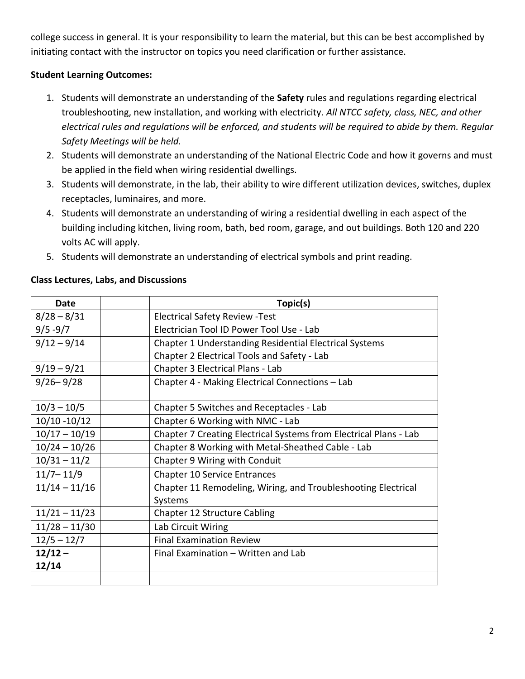college success in general. It is your responsibility to learn the material, but this can be best accomplished by initiating contact with the instructor on topics you need clarification or further assistance.

### **Student Learning Outcomes:**

- 1. Students will demonstrate an understanding of the **Safety** rules and regulations regarding electrical troubleshooting, new installation, and working with electricity. *All NTCC safety, class, NEC, and other electrical rules and regulations will be enforced, and students will be required to abide by them. Regular Safety Meetings will be held.*
- 2. Students will demonstrate an understanding of the National Electric Code and how it governs and must be applied in the field when wiring residential dwellings.
- 3. Students will demonstrate, in the lab, their ability to wire different utilization devices, switches, duplex receptacles, luminaires, and more.
- 4. Students will demonstrate an understanding of wiring a residential dwelling in each aspect of the building including kitchen, living room, bath, bed room, garage, and out buildings. Both 120 and 220 volts AC will apply.
- 5. Students will demonstrate an understanding of electrical symbols and print reading.

| Date            |  | Topic(s)                                                          |  |
|-----------------|--|-------------------------------------------------------------------|--|
| $8/28 - 8/31$   |  | <b>Electrical Safety Review - Test</b>                            |  |
| $9/5 - 9/7$     |  | Electrician Tool ID Power Tool Use - Lab                          |  |
| $9/12 - 9/14$   |  | Chapter 1 Understanding Residential Electrical Systems            |  |
|                 |  | Chapter 2 Electrical Tools and Safety - Lab                       |  |
| $9/19 - 9/21$   |  | Chapter 3 Electrical Plans - Lab                                  |  |
| $9/26 - 9/28$   |  | Chapter 4 - Making Electrical Connections - Lab                   |  |
|                 |  |                                                                   |  |
| $10/3 - 10/5$   |  | Chapter 5 Switches and Receptacles - Lab                          |  |
| $10/10 - 10/12$ |  | Chapter 6 Working with NMC - Lab                                  |  |
| $10/17 - 10/19$ |  | Chapter 7 Creating Electrical Systems from Electrical Plans - Lab |  |
| $10/24 - 10/26$ |  | Chapter 8 Working with Metal-Sheathed Cable - Lab                 |  |
| $10/31 - 11/2$  |  | Chapter 9 Wiring with Conduit                                     |  |
| $11/7 - 11/9$   |  | <b>Chapter 10 Service Entrances</b>                               |  |
| $11/14 - 11/16$ |  | Chapter 11 Remodeling, Wiring, and Troubleshooting Electrical     |  |
|                 |  | Systems                                                           |  |
| $11/21 - 11/23$ |  | Chapter 12 Structure Cabling                                      |  |
| $11/28 - 11/30$ |  | Lab Circuit Wiring                                                |  |
| $12/5 - 12/7$   |  | <b>Final Examination Review</b>                                   |  |
| $12/12 -$       |  | Final Examination – Written and Lab                               |  |
| 12/14           |  |                                                                   |  |
|                 |  |                                                                   |  |

#### **Class Lectures, Labs, and Discussions**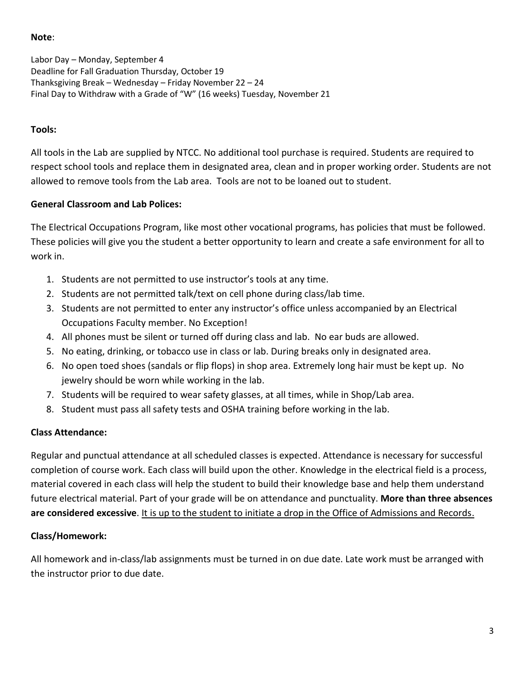#### **Note**:

Labor Day – Monday, September 4 Deadline for Fall Graduation Thursday, October 19 Thanksgiving Break – Wednesday – Friday November 22 – 24 Final Day to Withdraw with a Grade of "W" (16 weeks) Tuesday, November 21

### **Tools:**

All tools in the Lab are supplied by NTCC. No additional tool purchase is required. Students are required to respect school tools and replace them in designated area, clean and in proper working order. Students are not allowed to remove tools from the Lab area. Tools are not to be loaned out to student.

## **General Classroom and Lab Polices:**

The Electrical Occupations Program, like most other vocational programs, has policies that must be followed. These policies will give you the student a better opportunity to learn and create a safe environment for all to work in.

- 1. Students are not permitted to use instructor's tools at any time.
- 2. Students are not permitted talk/text on cell phone during class/lab time.
- 3. Students are not permitted to enter any instructor's office unless accompanied by an Electrical Occupations Faculty member. No Exception!
- 4. All phones must be silent or turned off during class and lab. No ear buds are allowed.
- 5. No eating, drinking, or tobacco use in class or lab. During breaks only in designated area.
- 6. No open toed shoes (sandals or flip flops) in shop area. Extremely long hair must be kept up. No jewelry should be worn while working in the lab.
- 7. Students will be required to wear safety glasses, at all times, while in Shop/Lab area.
- 8. Student must pass all safety tests and OSHA training before working in the lab.

## **Class Attendance:**

Regular and punctual attendance at all scheduled classes is expected. Attendance is necessary for successful completion of course work. Each class will build upon the other. Knowledge in the electrical field is a process, material covered in each class will help the student to build their knowledge base and help them understand future electrical material. Part of your grade will be on attendance and punctuality. **More than three absences are considered excessive**. It is up to the student to initiate a drop in the Office of Admissions and Records.

## **Class/Homework:**

All homework and in-class/lab assignments must be turned in on due date. Late work must be arranged with the instructor prior to due date.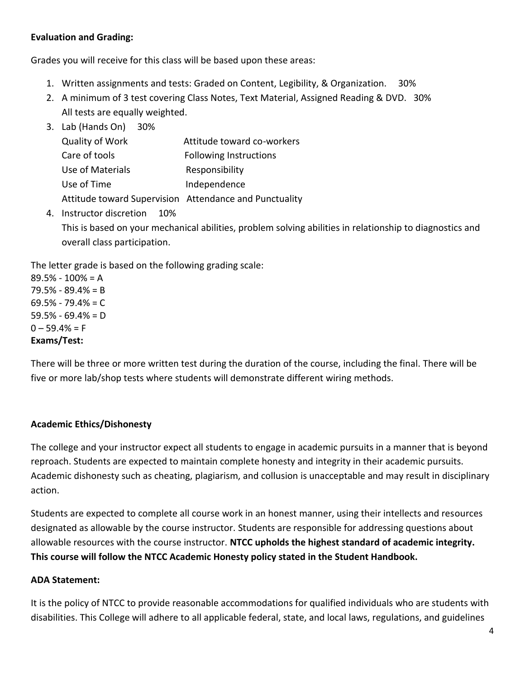## **Evaluation and Grading:**

Grades you will receive for this class will be based upon these areas:

- 1. Written assignments and tests: Graded on Content, Legibility, & Organization. 30%
- 2. A minimum of 3 test covering Class Notes, Text Material, Assigned Reading & DVD. 30% All tests are equally weighted.
- 3. Lab (Hands On) 30%

| Quality of Work  | Attitude toward co-workers                             |
|------------------|--------------------------------------------------------|
| Care of tools    | <b>Following Instructions</b>                          |
| Use of Materials | Responsibility                                         |
| Use of Time      | Independence                                           |
|                  | Attitude toward Supervision Attendance and Punctuality |

4. Instructor discretion 10% This is based on your mechanical abilities, problem solving abilities in relationship to diagnostics and overall class participation.

The letter grade is based on the following grading scale:

89.5% - 100% = A 79.5% - 89.4% = B  $69.5\% - 79.4\% = C$ 59.5% - 69.4% = D  $0 - 59.4% = F$ **Exams/Test:**

There will be three or more written test during the duration of the course, including the final. There will be five or more lab/shop tests where students will demonstrate different wiring methods.

#### **Academic Ethics/Dishonesty**

The college and your instructor expect all students to engage in academic pursuits in a manner that is beyond reproach. Students are expected to maintain complete honesty and integrity in their academic pursuits. Academic dishonesty such as cheating, plagiarism, and collusion is unacceptable and may result in disciplinary action.

Students are expected to complete all course work in an honest manner, using their intellects and resources designated as allowable by the course instructor. Students are responsible for addressing questions about allowable resources with the course instructor. **NTCC upholds the highest standard of academic integrity. This course will follow the NTCC Academic Honesty policy stated in the Student Handbook.**

#### **ADA Statement:**

It is the policy of NTCC to provide reasonable accommodations for qualified individuals who are students with disabilities. This College will adhere to all applicable federal, state, and local laws, regulations, and guidelines